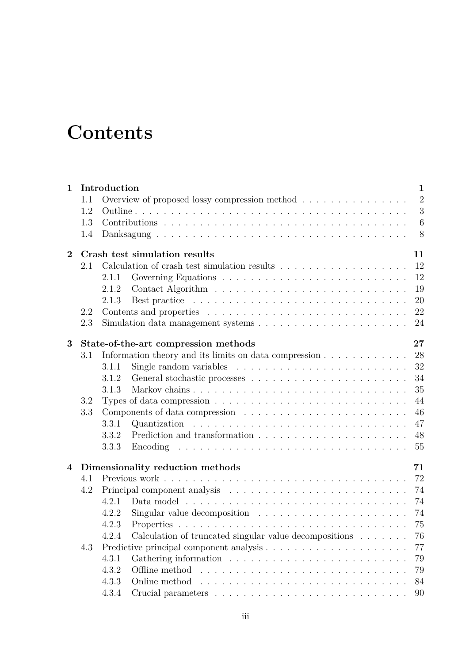## **Contents**

| $\mathbf{1}$   | $\mathbf{1}$<br>Introduction           |                                            |                                                                                   |                |  |  |  |  |
|----------------|----------------------------------------|--------------------------------------------|-----------------------------------------------------------------------------------|----------------|--|--|--|--|
|                | 1.1                                    |                                            | Overview of proposed lossy compression method                                     | $\overline{2}$ |  |  |  |  |
|                | 1.2                                    |                                            |                                                                                   | 3              |  |  |  |  |
|                | 1.3                                    |                                            |                                                                                   | 6              |  |  |  |  |
|                | 1.4                                    |                                            |                                                                                   | - 8            |  |  |  |  |
| $\overline{2}$ |                                        | Crash test simulation results<br>11        |                                                                                   |                |  |  |  |  |
|                | 2.1                                    |                                            |                                                                                   | 12             |  |  |  |  |
|                |                                        | 2.1.1                                      |                                                                                   | 12             |  |  |  |  |
|                |                                        | 2.1.2                                      |                                                                                   | 19             |  |  |  |  |
|                |                                        | 2.1.3                                      |                                                                                   | 20             |  |  |  |  |
|                | 2.2                                    |                                            |                                                                                   | 22             |  |  |  |  |
|                | 2.3                                    |                                            |                                                                                   | 24             |  |  |  |  |
| 3              |                                        | 27<br>State-of-the-art compression methods |                                                                                   |                |  |  |  |  |
|                | 3.1                                    |                                            |                                                                                   | 28             |  |  |  |  |
|                |                                        | 3.1.1                                      | Single random variables $\ldots \ldots \ldots \ldots \ldots \ldots \ldots \ldots$ | 32             |  |  |  |  |
|                |                                        | 3.1.2                                      |                                                                                   | 34             |  |  |  |  |
|                |                                        | 3.1.3                                      |                                                                                   | 35             |  |  |  |  |
|                | 3.2                                    |                                            |                                                                                   | 44             |  |  |  |  |
|                | 3.3                                    |                                            |                                                                                   | 46             |  |  |  |  |
|                |                                        | 3.3.1                                      |                                                                                   | 47             |  |  |  |  |
|                |                                        | 3.3.2                                      |                                                                                   | 48             |  |  |  |  |
|                |                                        | 3.3.3                                      |                                                                                   | 55             |  |  |  |  |
| $\overline{4}$ | Dimensionality reduction methods<br>71 |                                            |                                                                                   |                |  |  |  |  |
|                | 4.1                                    |                                            |                                                                                   | 72             |  |  |  |  |
|                | 4.2                                    |                                            |                                                                                   | 74             |  |  |  |  |
|                |                                        | 4.2.1                                      |                                                                                   | 74             |  |  |  |  |
|                |                                        | 4.2.2                                      | Singular value decomposition $\ldots \ldots \ldots \ldots \ldots \ldots \ldots$   | 74             |  |  |  |  |
|                |                                        | 4.2.3                                      |                                                                                   | 75             |  |  |  |  |
|                |                                        |                                            | 4.2.4 Calculation of truncated singular value decompositions                      | 76             |  |  |  |  |
|                | 4.3                                    |                                            |                                                                                   | 77             |  |  |  |  |
|                |                                        | 4.3.1                                      |                                                                                   | 79             |  |  |  |  |
|                |                                        | 4.3.2                                      | Offline method                                                                    | 79             |  |  |  |  |
|                |                                        | 4.3.3                                      | Online method                                                                     | 84             |  |  |  |  |
|                |                                        | 4.3.4                                      |                                                                                   | 90             |  |  |  |  |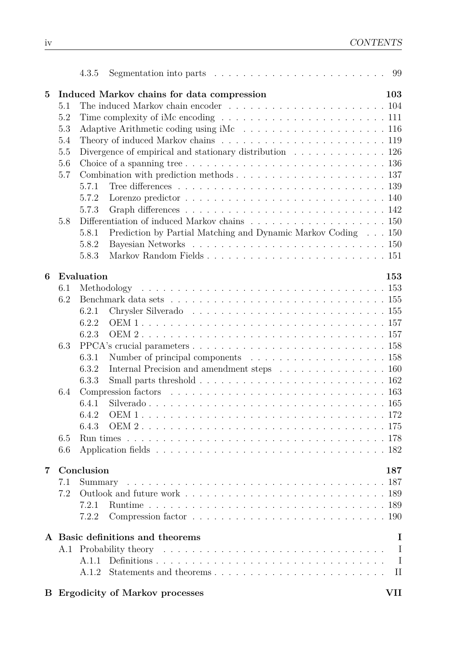|                 |                                       | Segmentation into parts $\dots \dots \dots \dots \dots \dots \dots \dots \dots \dots \dots$ 99<br>4.3.5       |              |  |  |  |  |  |
|-----------------|---------------------------------------|---------------------------------------------------------------------------------------------------------------|--------------|--|--|--|--|--|
| $5\overline{)}$ |                                       | Induced Markov chains for data compression                                                                    | 103          |  |  |  |  |  |
|                 | 5.1                                   |                                                                                                               |              |  |  |  |  |  |
|                 | 5.2                                   |                                                                                                               |              |  |  |  |  |  |
|                 | 5.3                                   |                                                                                                               |              |  |  |  |  |  |
|                 | 5.4                                   | Theory of induced Markov chains $\ldots \ldots \ldots \ldots \ldots \ldots \ldots \ldots \ldots 119$          |              |  |  |  |  |  |
|                 | 5.5                                   | Divergence of empirical and stationary distribution $\ldots \ldots \ldots \ldots 126$                         |              |  |  |  |  |  |
|                 | 5.6                                   | Choice of a spanning tree $\ldots \ldots \ldots \ldots \ldots \ldots \ldots \ldots \ldots \ldots 136$         |              |  |  |  |  |  |
|                 | 5.7                                   |                                                                                                               |              |  |  |  |  |  |
|                 |                                       | 5.7.1                                                                                                         |              |  |  |  |  |  |
|                 |                                       | Lorenzo predictor $\ldots \ldots \ldots \ldots \ldots \ldots \ldots \ldots \ldots \ldots 140$<br>5.7.2        |              |  |  |  |  |  |
|                 |                                       | 5.7.3                                                                                                         |              |  |  |  |  |  |
|                 | 5.8                                   | Differentiation of induced Markov chains $\ldots \ldots \ldots \ldots \ldots \ldots \ldots \ldots 150$        |              |  |  |  |  |  |
|                 |                                       | Prediction by Partial Matching and Dynamic Markov Coding $\ldots$ 150<br>5.8.1                                |              |  |  |  |  |  |
|                 |                                       | 5.8.2                                                                                                         |              |  |  |  |  |  |
|                 |                                       | 5.8.3                                                                                                         |              |  |  |  |  |  |
| 6               |                                       | Evaluation<br>153                                                                                             |              |  |  |  |  |  |
|                 | 6.1                                   |                                                                                                               |              |  |  |  |  |  |
|                 | 6.2                                   |                                                                                                               |              |  |  |  |  |  |
|                 |                                       | 6.2.1                                                                                                         |              |  |  |  |  |  |
|                 |                                       | 6.2.2                                                                                                         |              |  |  |  |  |  |
|                 |                                       | 6.2.3                                                                                                         |              |  |  |  |  |  |
|                 | 6.3                                   |                                                                                                               |              |  |  |  |  |  |
|                 |                                       | 6.3.1                                                                                                         |              |  |  |  |  |  |
|                 |                                       | Internal Precision and amendment steps $\hfill\ldots\ldots\ldots\ldots\ldots\ldots\ldots\ldots\,160$<br>6.3.2 |              |  |  |  |  |  |
|                 |                                       | 6.3.3                                                                                                         |              |  |  |  |  |  |
|                 | 6.4                                   |                                                                                                               |              |  |  |  |  |  |
|                 |                                       | 6.4.1                                                                                                         |              |  |  |  |  |  |
|                 |                                       | 6.4.2                                                                                                         |              |  |  |  |  |  |
|                 |                                       |                                                                                                               |              |  |  |  |  |  |
|                 | 6.5                                   |                                                                                                               |              |  |  |  |  |  |
|                 | 6.6                                   |                                                                                                               |              |  |  |  |  |  |
|                 |                                       |                                                                                                               |              |  |  |  |  |  |
| 7               |                                       | Conclusion                                                                                                    | 187          |  |  |  |  |  |
|                 | 7.1                                   |                                                                                                               |              |  |  |  |  |  |
|                 | 7.2                                   |                                                                                                               |              |  |  |  |  |  |
|                 |                                       | 7.2.1                                                                                                         |              |  |  |  |  |  |
|                 |                                       | 7.2.2                                                                                                         |              |  |  |  |  |  |
|                 | A Basic definitions and theorems<br>I |                                                                                                               |              |  |  |  |  |  |
|                 |                                       |                                                                                                               | I            |  |  |  |  |  |
|                 |                                       | A.1.1                                                                                                         | $\mathbf{I}$ |  |  |  |  |  |
|                 |                                       | A.1.2                                                                                                         | $\rm II$     |  |  |  |  |  |
|                 |                                       | <b>VII</b><br><b>B</b> Ergodicity of Markov processes                                                         |              |  |  |  |  |  |